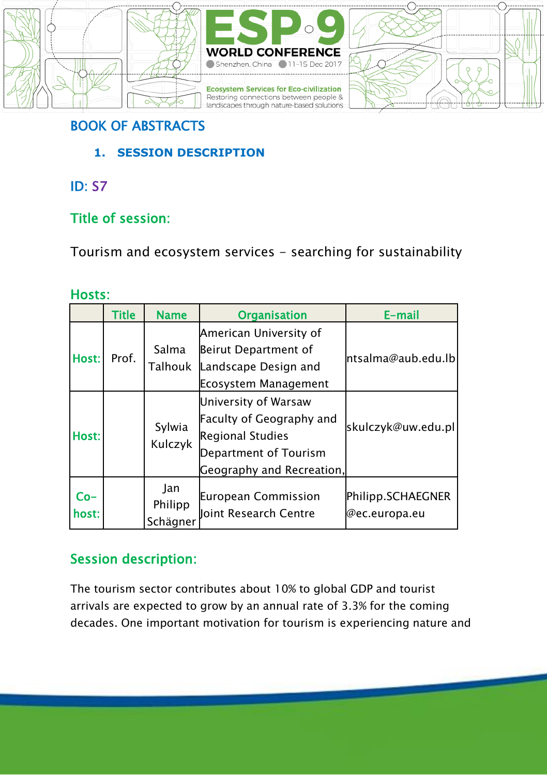



## BOOK OF ABSTRACTS

- **1. SESSION DESCRIPTION**
- ID: S7

## Title of session:

Tourism and ecosystem services - searching for sustainability

### Hosts:

|                | <b>Title</b> | <b>Name</b>                | <b>Organisation</b>                                                                                                               | E-mail                             |  |
|----------------|--------------|----------------------------|-----------------------------------------------------------------------------------------------------------------------------------|------------------------------------|--|
|                |              |                            | American University of                                                                                                            |                                    |  |
| Host:          | Prof.        | Salma                      | Beirut Department of                                                                                                              | ntsalma@aub.edu.lbl                |  |
|                |              | Talhouk                    | Landscape Design and                                                                                                              |                                    |  |
|                |              |                            | Ecosystem Management                                                                                                              |                                    |  |
| Host:          |              | Sylwia<br>Kulczyk          | University of Warsaw<br>Faculty of Geography and<br><b>Regional Studies</b><br>Department of Tourism<br>Geography and Recreation, | skulczyk@uw.edu.pl                 |  |
| $Co-$<br>host: |              | Jan<br>Philipp<br>Schägner | European Commission<br>Joint Research Centre                                                                                      | Philipp.SCHAEGNER<br>@ec.europa.eu |  |

## Session description:

The tourism sector contributes about 10% to global GDP and tourist arrivals are expected to grow by an annual rate of 3.3% for the coming decades. One important motivation for tourism is experiencing nature and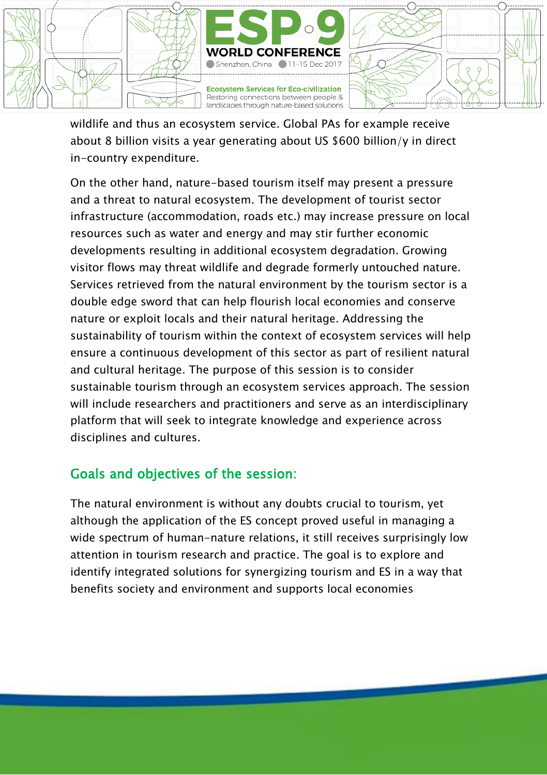

wildlife and thus an ecosystem service. Global PAs for example receive about 8 billion visits a year generating about US \$600 billion/y in direct in-country expenditure.

On the other hand, nature-based tourism itself may present a pressure and a threat to natural ecosystem. The development of tourist sector infrastructure (accommodation, roads etc.) may increase pressure on local resources such as water and energy and may stir further economic developments resulting in additional ecosystem degradation. Growing visitor flows may threat wildlife and degrade formerly untouched nature. Services retrieved from the natural environment by the tourism sector is a double edge sword that can help flourish local economies and conserve nature or exploit locals and their natural heritage. Addressing the sustainability of tourism within the context of ecosystem services will help ensure a continuous development of this sector as part of resilient natural and cultural heritage. The purpose of this session is to consider sustainable tourism through an ecosystem services approach. The session will include researchers and practitioners and serve as an interdisciplinary platform that will seek to integrate knowledge and experience across disciplines and cultures.

### Goals and objectives of the session:

The natural environment is without any doubts crucial to tourism, yet although the application of the ES concept proved useful in managing a wide spectrum of human-nature relations, it still receives surprisingly low attention in tourism research and practice. The goal is to explore and identify integrated solutions for synergizing tourism and ES in a way that benefits society and environment and supports local economies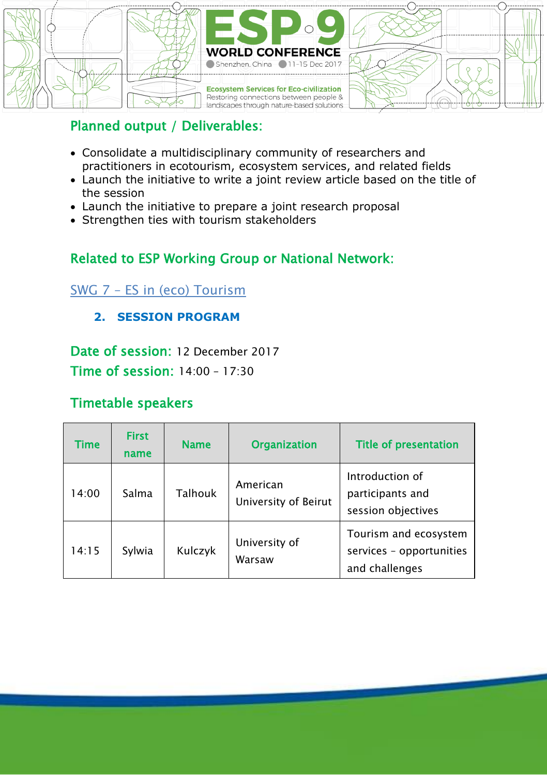

### Planned output / Deliverables:

- Consolidate a multidisciplinary community of researchers and practitioners in ecotourism, ecosystem services, and related fields
- Launch the initiative to write a joint review article based on the title of the session
- Launch the initiative to prepare a joint research proposal
- Strengthen ties with tourism stakeholders

## Related to ESP Working Group or National Network:

### SWG 7 – [ES in \(eco\) Tourism](https://www.es-partnership.org/?s=SWG+7+%E2%80%93+ES+in+%28eco%29+Tourism+&submit=Search)

### **2. SESSION PROGRAM**

Date of session: 12 December 2017 Time of session: 14:00 – 17:30

### Timetable speakers

| Time  | <b>First</b><br>name | <b>Name</b> | <b>Organization</b>              | Title of presentation                                               |
|-------|----------------------|-------------|----------------------------------|---------------------------------------------------------------------|
| 14:00 | Salma                | Talhouk     | American<br>University of Beirut | Introduction of<br>participants and<br>session objectives           |
| 14:15 | Sylwia               | Kulczyk     | University of<br>Warsaw          | Tourism and ecosystem<br>services - opportunities<br>and challenges |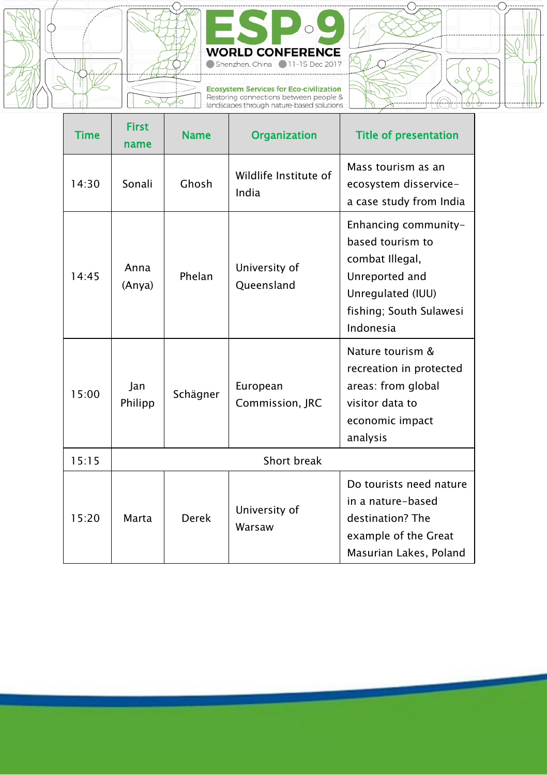



Ecosystem Services for Eco-civilization<br>Restoring connections between people &<br>landscapes through nature-based solutions



| <b>Time</b> | <b>First</b><br>name | <b>Name</b> | <b>Organization</b>            | <b>Title of presentation</b>                                                                                                               |
|-------------|----------------------|-------------|--------------------------------|--------------------------------------------------------------------------------------------------------------------------------------------|
| 14:30       | Sonali               | Ghosh       | Wildlife Institute of<br>India | Mass tourism as an<br>ecosystem disservice-<br>a case study from India                                                                     |
| 14.45       | Anna<br>(Anya)       | Phelan      | University of<br>Queensland    | Enhancing community-<br>based tourism to<br>combat Illegal,<br>Unreported and<br>Unregulated (IUU)<br>fishing; South Sulawesi<br>Indonesia |
| 15:00       | Jan<br>Philipp       | Schägner    | European<br>Commission, JRC    | Nature tourism &<br>recreation in protected<br>areas: from global<br>visitor data to<br>economic impact<br>analysis                        |
| 15:15       | Short break          |             |                                |                                                                                                                                            |
| 15:20       | Marta                | Derek       | University of<br>Warsaw        | Do tourists need nature<br>in a nature-based<br>destination? The<br>example of the Great<br>Masurian Lakes, Poland                         |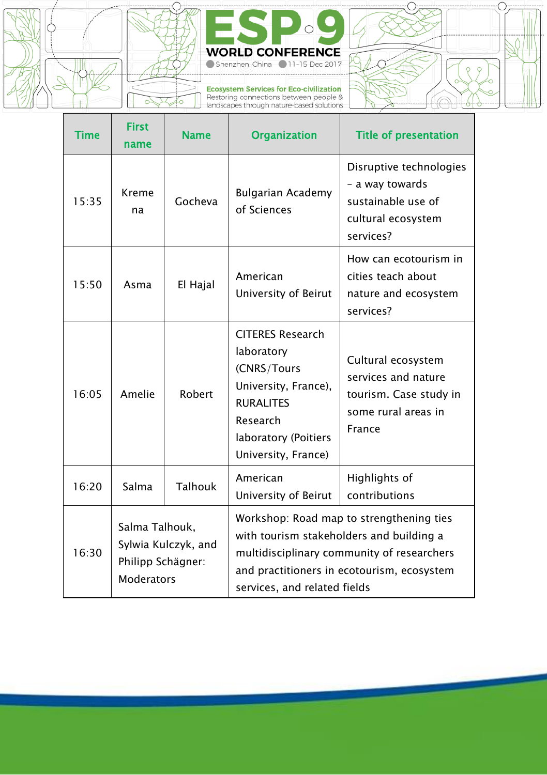



Ecosystem Services for Eco-civilization<br>Restoring connections between people &<br>landscapes through nature-based solutions

ī



| <b>Time</b> | <b>First</b><br>name                                                            | <b>Name</b> | <b>Organization</b>                                                                                                                                                                                              | <b>Title of presentation</b>                                                                         |
|-------------|---------------------------------------------------------------------------------|-------------|------------------------------------------------------------------------------------------------------------------------------------------------------------------------------------------------------------------|------------------------------------------------------------------------------------------------------|
| 15:35       | Kreme<br>na                                                                     | Gocheva     | Bulgarian Academy<br>of Sciences                                                                                                                                                                                 | Disruptive technologies<br>- a way towards<br>sustainable use of<br>cultural ecosystem<br>services?  |
| 15:50       | Asma                                                                            | El Hajal    | American<br>University of Beirut                                                                                                                                                                                 | How can ecotourism in<br>cities teach about<br>nature and ecosystem<br>services?                     |
| 16:05       | Amelie                                                                          | Robert      | <b>CITERES Research</b><br>laboratory<br>(CNRS/Tours<br>University, France),<br><b>RURALITES</b><br>Research<br>laboratory (Poitiers<br>University, France)                                                      | Cultural ecosystem<br>services and nature<br>tourism. Case study in<br>some rural areas in<br>France |
| 16:20       | Salma                                                                           | Talhouk     | American<br>University of Beirut                                                                                                                                                                                 | Highlights of<br>contributions                                                                       |
| 16:30       | Salma Talhouk,<br>Sylwia Kulczyk, and<br>Philipp Schägner:<br><b>Moderators</b> |             | Workshop: Road map to strengthening ties<br>with tourism stakeholders and building a<br>multidisciplinary community of researchers<br>and practitioners in ecotourism, ecosystem<br>services, and related fields |                                                                                                      |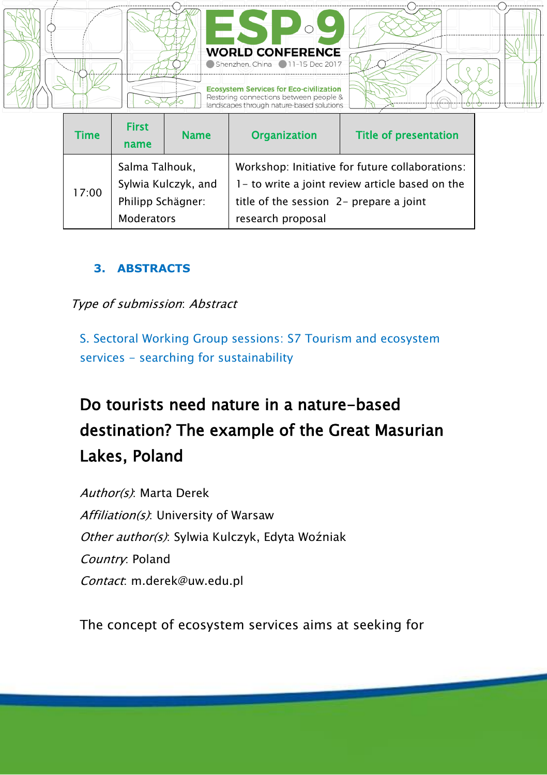

| <b>Time</b> | <b>First</b><br>name                                                            | <b>Name</b> | <b>Organization</b>                                                                                                                                                | <b>Title of presentation</b> |
|-------------|---------------------------------------------------------------------------------|-------------|--------------------------------------------------------------------------------------------------------------------------------------------------------------------|------------------------------|
| 17:00       | Salma Talhouk,<br>Sylwia Kulczyk, and<br>Philipp Schägner:<br><b>Moderators</b> |             | Workshop: Initiative for future collaborations:<br>1- to write a joint review article based on the<br>title of the session 2- prepare a joint<br>research proposal |                              |

#### **3. ABSTRACTS**

Type of submission: Abstract

S. Sectoral Working Group sessions: S7 Tourism and ecosystem services - searching for sustainability

# Do tourists need nature in a nature-based destination? The example of the Great Masurian Lakes, Poland

Author(s): Marta Derek Affiliation(s): University of Warsaw Other author(s): Sylwia Kulczyk, Edyta Woźniak Country: Poland Contact: m.derek@uw.edu.pl

The concept of ecosystem services aims at seeking for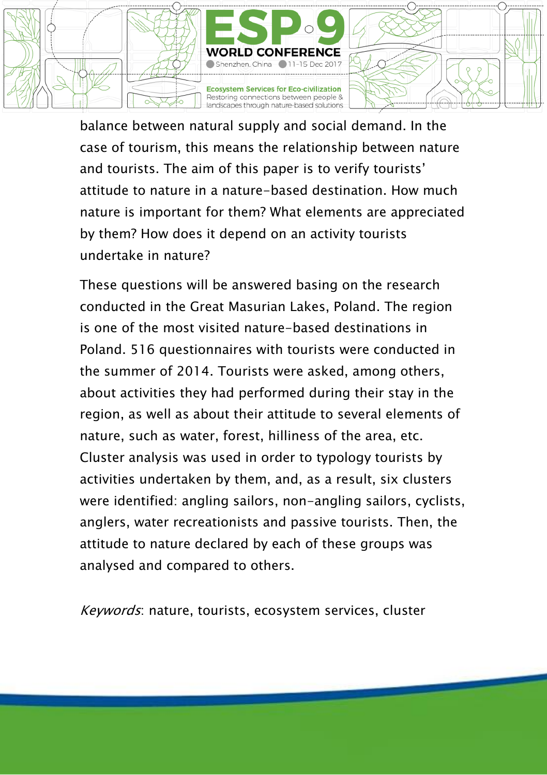

balance between natural supply and social demand. In the case of tourism, this means the relationship between nature and tourists. The aim of this paper is to verify tourists' attitude to nature in a nature-based destination. How much nature is important for them? What elements are appreciated by them? How does it depend on an activity tourists undertake in nature?

These questions will be answered basing on the research conducted in the Great Masurian Lakes, Poland. The region is one of the most visited nature-based destinations in Poland. 516 questionnaires with tourists were conducted in the summer of 2014. Tourists were asked, among others, about activities they had performed during their stay in the region, as well as about their attitude to several elements of nature, such as water, forest, hilliness of the area, etc. Cluster analysis was used in order to typology tourists by activities undertaken by them, and, as a result, six clusters were identified: angling sailors, non-angling sailors, cyclists, anglers, water recreationists and passive tourists. Then, the attitude to nature declared by each of these groups was analysed and compared to others.

Keywords: nature, tourists, ecosystem services, cluster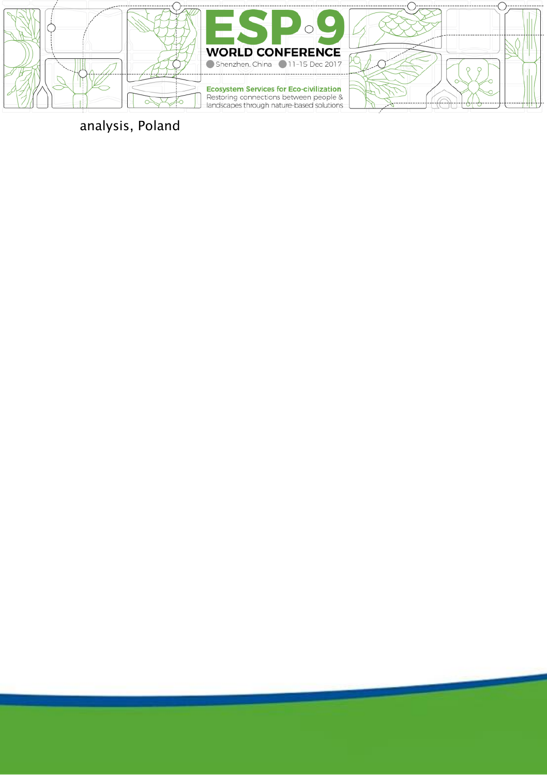





## analysis, Poland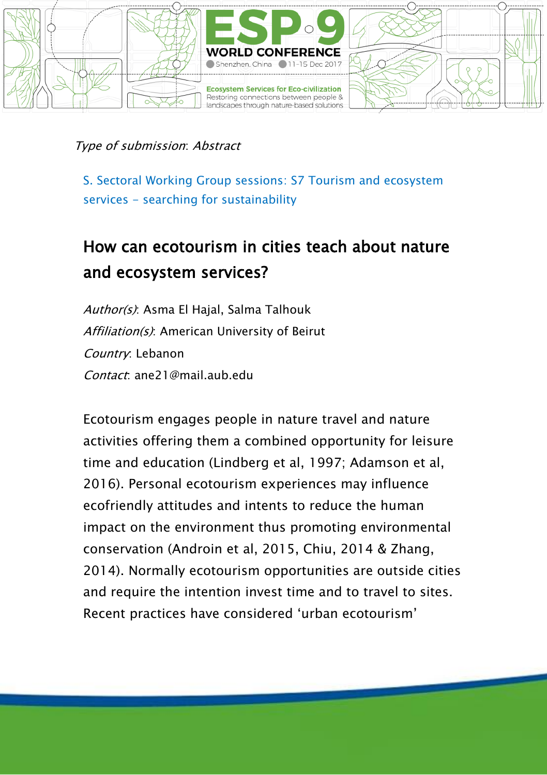

S. Sectoral Working Group sessions: S7 Tourism and ecosystem services - searching for sustainability

## How can ecotourism in cities teach about nature and ecosystem services?

Author(s): Asma El Hajal, Salma Talhouk Affiliation(s): American University of Beirut Country: Lebanon Contact: ane21@mail.aub.edu

Ecotourism engages people in nature travel and nature activities offering them a combined opportunity for leisure time and education (Lindberg et al, 1997; Adamson et al, 2016). Personal ecotourism experiences may influence ecofriendly attitudes and intents to reduce the human impact on the environment thus promoting environmental conservation (Androin et al, 2015, Chiu, 2014 & Zhang, 2014). Normally ecotourism opportunities are outside cities and require the intention invest time and to travel to sites. Recent practices have considered 'urban ecotourism'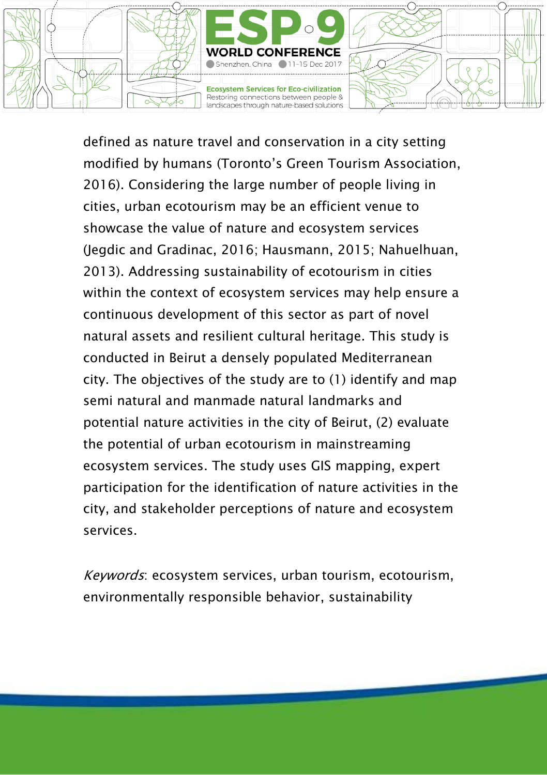

defined as nature travel and conservation in a city setting modified by humans (Toronto's Green Tourism Association, 2016). Considering the large number of people living in cities, urban ecotourism may be an efficient venue to showcase the value of nature and ecosystem services (Jegdic and Gradinac, 2016; Hausmann, 2015; Nahuelhuan, 2013). Addressing sustainability of ecotourism in cities within the context of ecosystem services may help ensure a continuous development of this sector as part of novel natural assets and resilient cultural heritage. This study is conducted in Beirut a densely populated Mediterranean city. The objectives of the study are to (1) identify and map semi natural and manmade natural landmarks and potential nature activities in the city of Beirut, (2) evaluate the potential of urban ecotourism in mainstreaming ecosystem services. The study uses GIS mapping, expert participation for the identification of nature activities in the city, and stakeholder perceptions of nature and ecosystem services.

Keywords: ecosystem services, urban tourism, ecotourism, environmentally responsible behavior, sustainability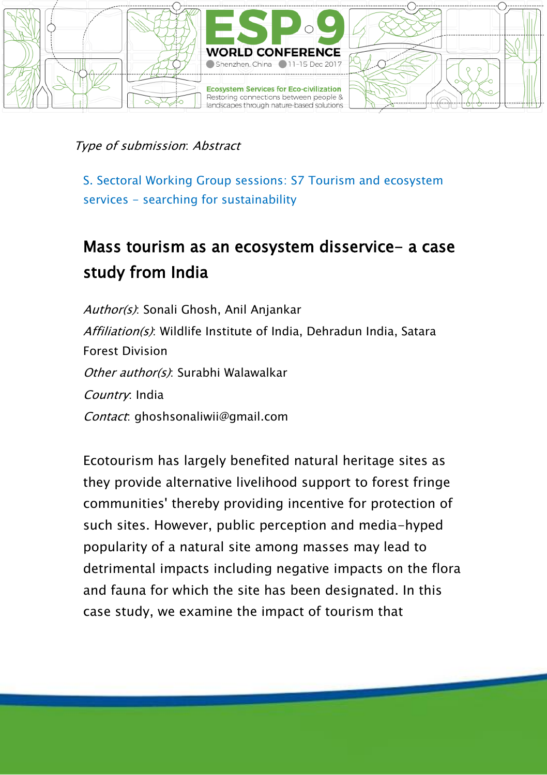

S. Sectoral Working Group sessions: S7 Tourism and ecosystem services - searching for sustainability

## Mass tourism as an ecosystem disservice- a case study from India

Author(s): Sonali Ghosh, Anil Anjankar Affiliation(s): Wildlife Institute of India, Dehradun India, Satara Forest Division Other author(s): Surabhi Walawalkar Country: India Contact: ghoshsonaliwii@gmail.com

Ecotourism has largely benefited natural heritage sites as they provide alternative livelihood support to forest fringe communities' thereby providing incentive for protection of such sites. However, public perception and media-hyped popularity of a natural site among masses may lead to detrimental impacts including negative impacts on the flora and fauna for which the site has been designated. In this case study, we examine the impact of tourism that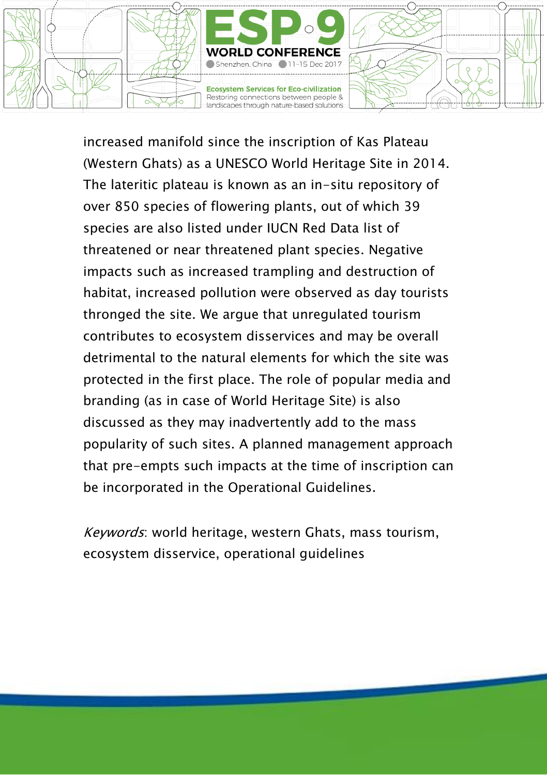

increased manifold since the inscription of Kas Plateau (Western Ghats) as a UNESCO World Heritage Site in 2014. The lateritic plateau is known as an in-situ repository of over 850 species of flowering plants, out of which 39 species are also listed under IUCN Red Data list of threatened or near threatened plant species. Negative impacts such as increased trampling and destruction of habitat, increased pollution were observed as day tourists thronged the site. We argue that unregulated tourism contributes to ecosystem disservices and may be overall detrimental to the natural elements for which the site was protected in the first place. The role of popular media and branding (as in case of World Heritage Site) is also discussed as they may inadvertently add to the mass popularity of such sites. A planned management approach that pre-empts such impacts at the time of inscription can be incorporated in the Operational Guidelines.

Keywords: world heritage, western Ghats, mass tourism, ecosystem disservice, operational guidelines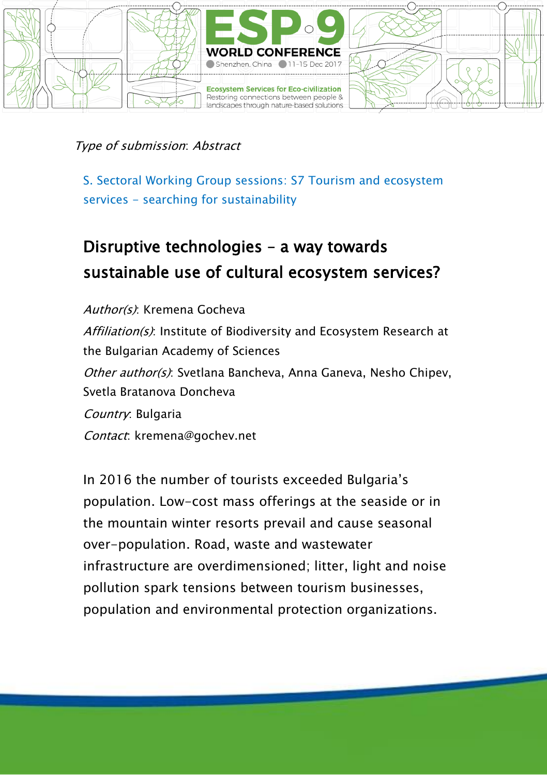

S. Sectoral Working Group sessions: S7 Tourism and ecosystem services - searching for sustainability

# Disruptive technologies – a way towards sustainable use of cultural ecosystem services?

Author(s): Kremena Gocheva Affiliation(s): Institute of Biodiversity and Ecosystem Research at the Bulgarian Academy of Sciences Other author(s): Svetlana Bancheva, Anna Ganeva, Nesho Chipev, Svetla Bratanova Doncheva Country: Bulgaria Contact: kremena@gochev.net

In 2016 the number of tourists exceeded Bulgaria's population. Low-cost mass offerings at the seaside or in the mountain winter resorts prevail and cause seasonal over-population. Road, waste and wastewater infrastructure are overdimensioned; litter, light and noise pollution spark tensions between tourism businesses, population and environmental protection organizations.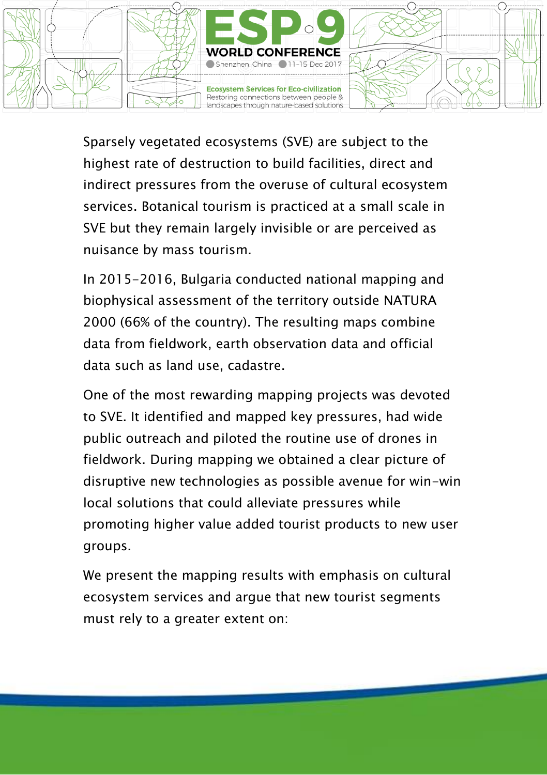

Sparsely vegetated ecosystems (SVE) are subject to the highest rate of destruction to build facilities, direct and indirect pressures from the overuse of cultural ecosystem services. Botanical tourism is practiced at a small scale in SVE but they remain largely invisible or are perceived as nuisance by mass tourism.

In 2015-2016, Bulgaria conducted national mapping and biophysical assessment of the territory outside NATURA 2000 (66% of the country). The resulting maps combine data from fieldwork, earth observation data and official data such as land use, cadastre.

One of the most rewarding mapping projects was devoted to SVE. It identified and mapped key pressures, had wide public outreach and piloted the routine use of drones in fieldwork. During mapping we obtained a clear picture of disruptive new technologies as possible avenue for win-win local solutions that could alleviate pressures while promoting higher value added tourist products to new user groups.

We present the mapping results with emphasis on cultural ecosystem services and argue that new tourist segments must rely to a greater extent on: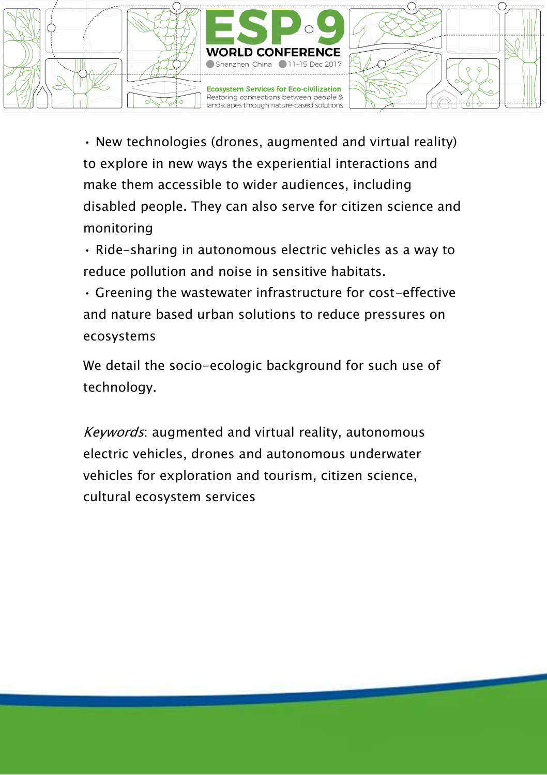

• New technologies (drones, augmented and virtual reality) to explore in new ways the experiential interactions and make them accessible to wider audiences, including disabled people. They can also serve for citizen science and monitoring

• Ride-sharing in autonomous electric vehicles as a way to reduce pollution and noise in sensitive habitats.

• Greening the wastewater infrastructure for cost-effective and nature based urban solutions to reduce pressures on ecosystems

We detail the socio-ecologic background for such use of technology.

Keywords: augmented and virtual reality, autonomous electric vehicles, drones and autonomous underwater vehicles for exploration and tourism, citizen science, cultural ecosystem services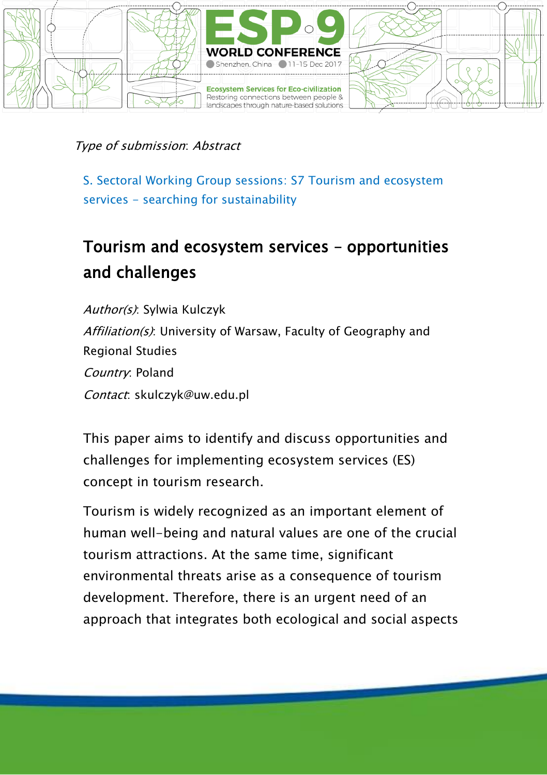

S. Sectoral Working Group sessions: S7 Tourism and ecosystem services - searching for sustainability

# Tourism and ecosystem services – opportunities and challenges

Author(s): Sylwia Kulczyk Affiliation(s): University of Warsaw, Faculty of Geography and Regional Studies Country: Poland Contact: skulczyk@uw.edu.pl

This paper aims to identify and discuss opportunities and challenges for implementing ecosystem services (ES) concept in tourism research.

Tourism is widely recognized as an important element of human well-being and natural values are one of the crucial tourism attractions. At the same time, significant environmental threats arise as a consequence of tourism development. Therefore, there is an urgent need of an approach that integrates both ecological and social aspects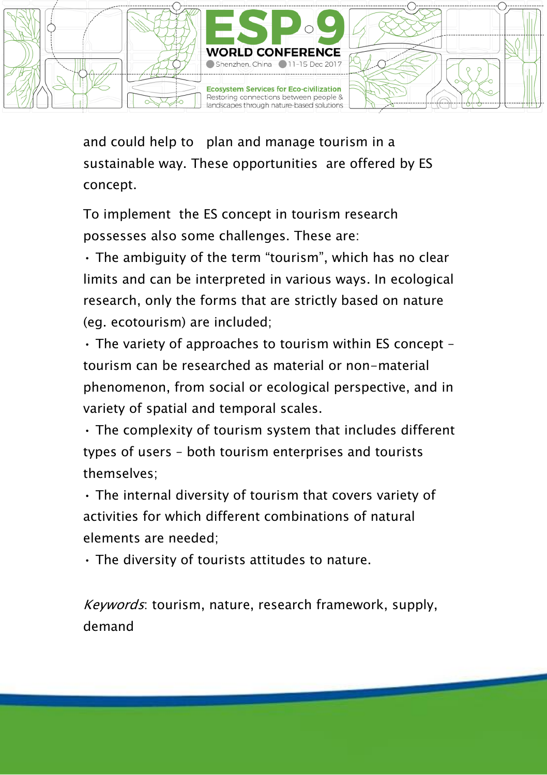

and could help to plan and manage tourism in a sustainable way. These opportunities are offered by ES concept.

To implement the ES concept in tourism research possesses also some challenges. These are:

• The ambiguity of the term "tourism", which has no clear limits and can be interpreted in various ways. In ecological research, only the forms that are strictly based on nature (eg. ecotourism) are included;

• The variety of approaches to tourism within ES concept – tourism can be researched as material or non-material phenomenon, from social or ecological perspective, and in variety of spatial and temporal scales.

• The complexity of tourism system that includes different types of users – both tourism enterprises and tourists themselves;

• The internal diversity of tourism that covers variety of activities for which different combinations of natural elements are needed;

• The diversity of tourists attitudes to nature.

Keywords: tourism, nature, research framework, supply, demand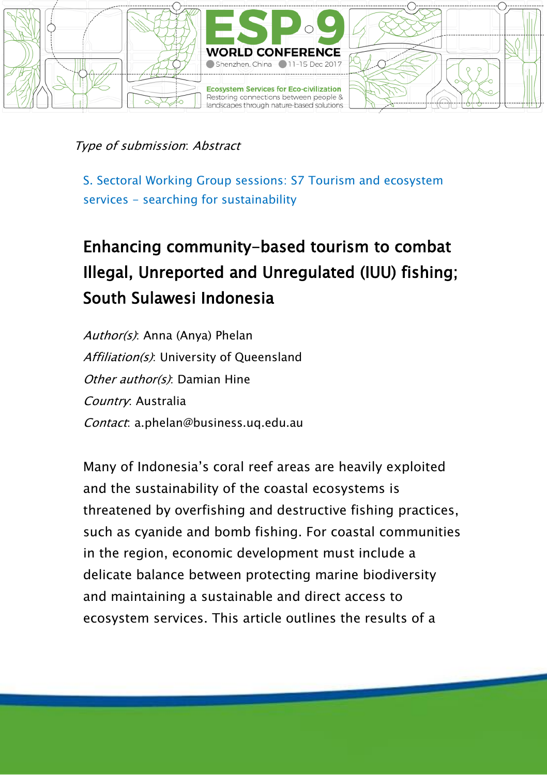

S. Sectoral Working Group sessions: S7 Tourism and ecosystem services - searching for sustainability

# Enhancing community-based tourism to combat Illegal, Unreported and Unregulated (IUU) fishing; South Sulawesi Indonesia

Author(s): Anna (Anya) Phelan Affiliation(s): University of Oueensland Other author(s): Damian Hine Country: Australia Contact: a.phelan@business.uq.edu.au

Many of Indonesia's coral reef areas are heavily exploited and the sustainability of the coastal ecosystems is threatened by overfishing and destructive fishing practices, such as cyanide and bomb fishing. For coastal communities in the region, economic development must include a delicate balance between protecting marine biodiversity and maintaining a sustainable and direct access to ecosystem services. This article outlines the results of a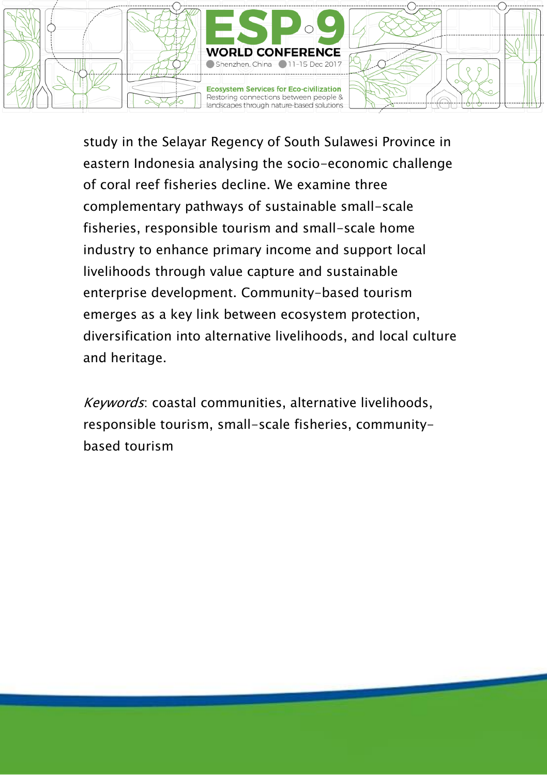

study in the Selayar Regency of South Sulawesi Province in eastern Indonesia analysing the socio-economic challenge of coral reef fisheries decline. We examine three complementary pathways of sustainable small-scale fisheries, responsible tourism and small-scale home industry to enhance primary income and support local livelihoods through value capture and sustainable enterprise development. Community-based tourism emerges as a key link between ecosystem protection, diversification into alternative livelihoods, and local culture and heritage.

Keywords: coastal communities, alternative livelihoods, responsible tourism, small-scale fisheries, communitybased tourism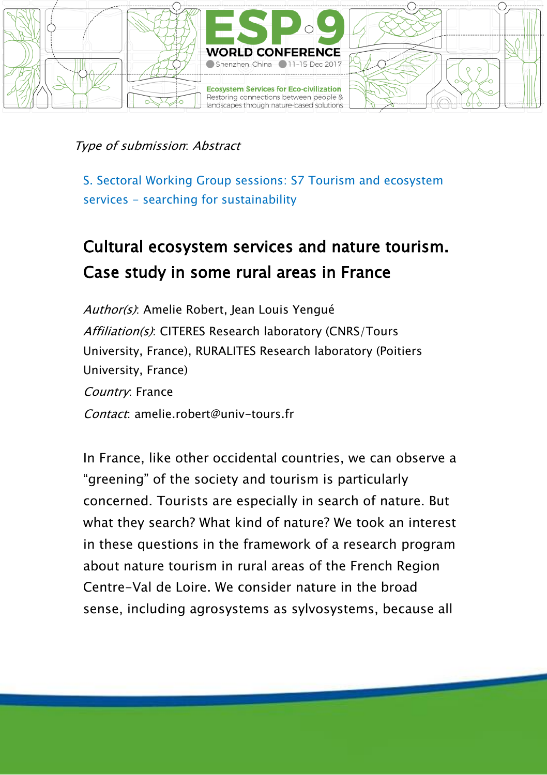

S. Sectoral Working Group sessions: S7 Tourism and ecosystem services - searching for sustainability

# Cultural ecosystem services and nature tourism. Case study in some rural areas in France

Author(s): Amelie Robert, Jean Louis Yengué Affiliation(s): CITERES Research laboratory (CNRS/Tours University, France), RURALITES Research laboratory (Poitiers University, France) Country: France Contact: amelie.robert@univ-tours.fr

In France, like other occidental countries, we can observe a "greening" of the society and tourism is particularly concerned. Tourists are especially in search of nature. But what they search? What kind of nature? We took an interest in these questions in the framework of a research program about nature tourism in rural areas of the French Region Centre-Val de Loire. We consider nature in the broad sense, including agrosystems as sylvosystems, because all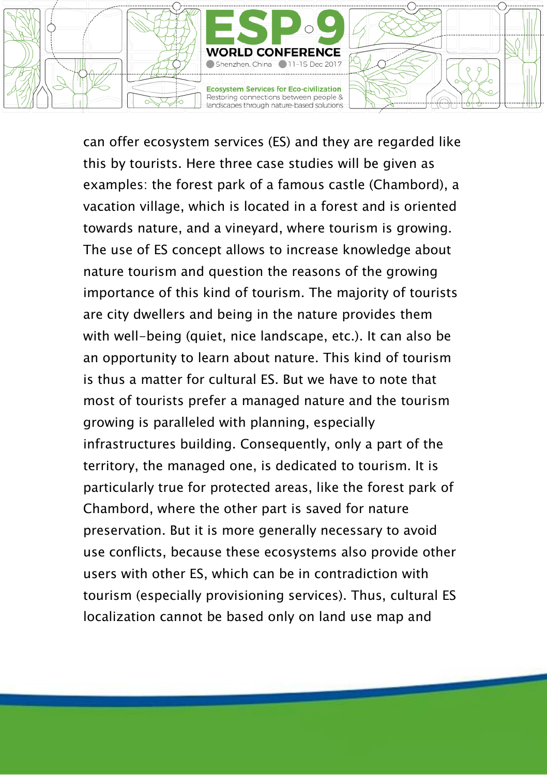

can offer ecosystem services (ES) and they are regarded like this by tourists. Here three case studies will be given as examples: the forest park of a famous castle (Chambord), a vacation village, which is located in a forest and is oriented towards nature, and a vineyard, where tourism is growing. The use of ES concept allows to increase knowledge about nature tourism and question the reasons of the growing importance of this kind of tourism. The majority of tourists are city dwellers and being in the nature provides them with well-being (quiet, nice landscape, etc.). It can also be an opportunity to learn about nature. This kind of tourism is thus a matter for cultural ES. But we have to note that most of tourists prefer a managed nature and the tourism growing is paralleled with planning, especially infrastructures building. Consequently, only a part of the territory, the managed one, is dedicated to tourism. It is particularly true for protected areas, like the forest park of Chambord, where the other part is saved for nature preservation. But it is more generally necessary to avoid use conflicts, because these ecosystems also provide other users with other ES, which can be in contradiction with tourism (especially provisioning services). Thus, cultural ES localization cannot be based only on land use map and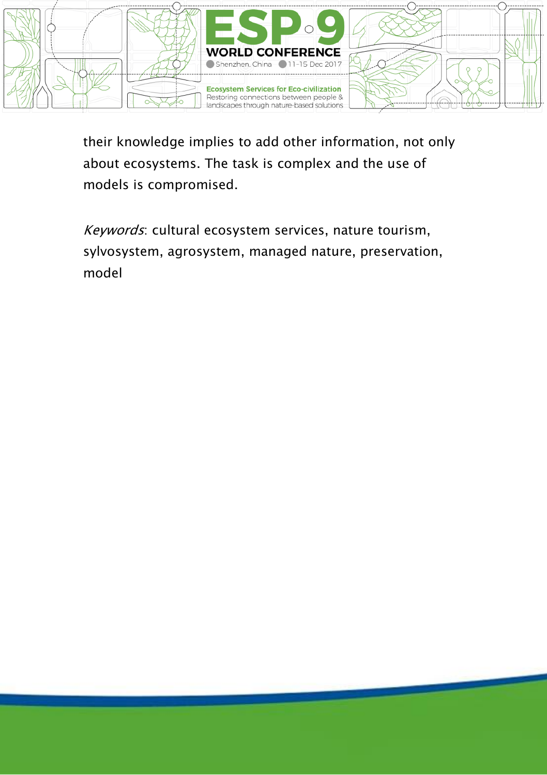

their knowledge implies to add other information, not only about ecosystems. The task is complex and the use of models is compromised.

Keywords: cultural ecosystem services, nature tourism, sylvosystem, agrosystem, managed nature, preservation, model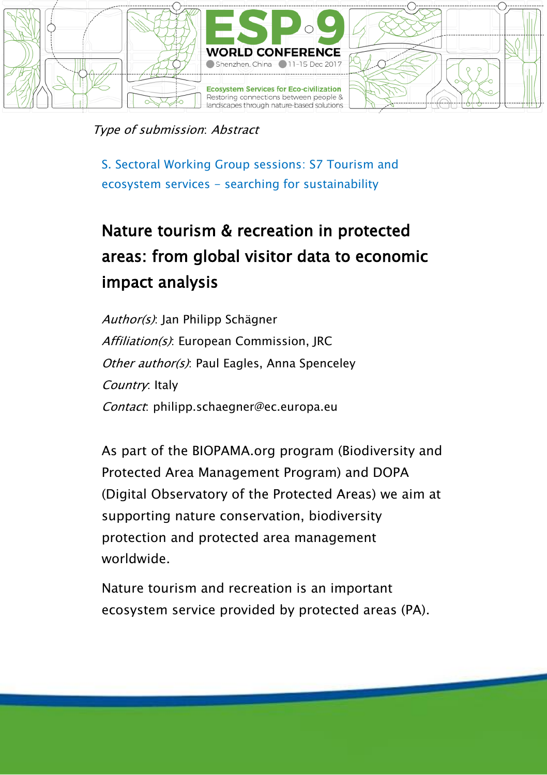

Type of submission: Abstract

S. Sectoral Working Group sessions: S7 Tourism and ecosystem services - searching for sustainability

# Nature tourism & recreation in protected areas: from global visitor data to economic impact analysis

Author(s): Jan Philipp Schägner Affiliation(s): European Commission, JRC Other author(s): Paul Eagles, Anna Spenceley Country: Italy Contact: philipp.schaegner@ec.europa.eu

As part of the BIOPAMA.org program (Biodiversity and Protected Area Management Program) and DOPA (Digital Observatory of the Protected Areas) we aim at supporting nature conservation, biodiversity protection and protected area management worldwide.

Nature tourism and recreation is an important ecosystem service provided by protected areas (PA).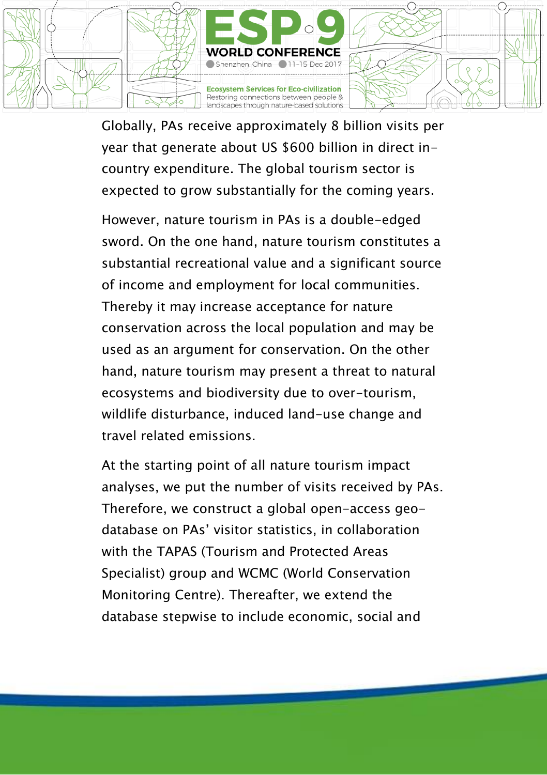

Globally, PAs receive approximately 8 billion visits per year that generate about US \$600 billion in direct incountry expenditure. The global tourism sector is expected to grow substantially for the coming years.

However, nature tourism in PAs is a double-edged sword. On the one hand, nature tourism constitutes a substantial recreational value and a significant source of income and employment for local communities. Thereby it may increase acceptance for nature conservation across the local population and may be used as an argument for conservation. On the other hand, nature tourism may present a threat to natural ecosystems and biodiversity due to over-tourism, wildlife disturbance, induced land-use change and travel related emissions.

At the starting point of all nature tourism impact analyses, we put the number of visits received by PAs. Therefore, we construct a global open-access geodatabase on PAs' visitor statistics, in collaboration with the TAPAS (Tourism and Protected Areas Specialist) group and WCMC (World Conservation Monitoring Centre). Thereafter, we extend the database stepwise to include economic, social and